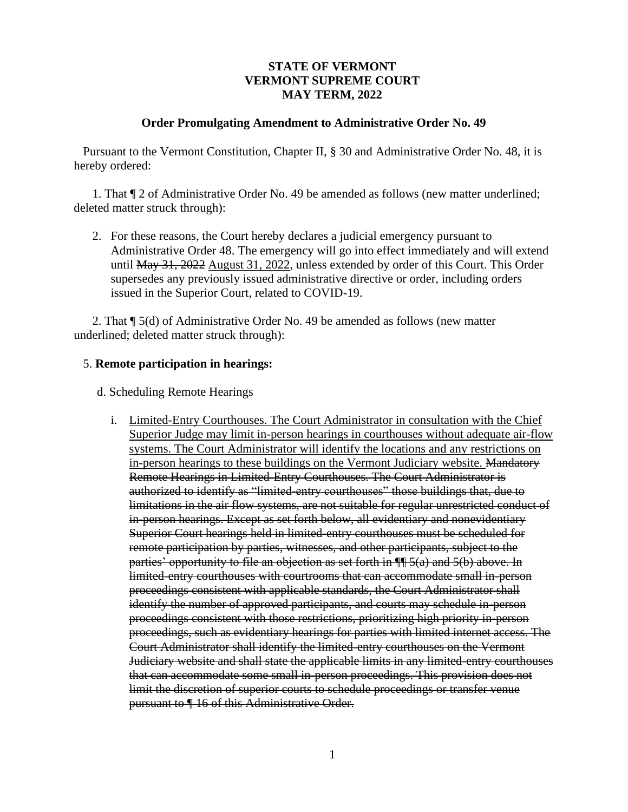## **STATE OF VERMONT VERMONT SUPREME COURT MAY TERM, 2022**

#### **Order Promulgating Amendment to Administrative Order No. 49**

Pursuant to the Vermont Constitution, Chapter II, § 30 and Administrative Order No. 48, it is hereby ordered:

1. That ¶ 2 of Administrative Order No. 49 be amended as follows (new matter underlined; deleted matter struck through):

2. For these reasons, the Court hereby declares a judicial emergency pursuant to Administrative Order 48. The emergency will go into effect immediately and will extend until May 31, 2022 August 31, 2022, unless extended by order of this Court. This Order supersedes any previously issued administrative directive or order, including orders issued in the Superior Court, related to COVID-19.

2. That ¶ 5(d) of Administrative Order No. 49 be amended as follows (new matter underlined; deleted matter struck through):

# 5. **Remote participation in hearings:**

d. Scheduling Remote Hearings

i. Limited-Entry Courthouses. The Court Administrator in consultation with the Chief Superior Judge may limit in-person hearings in courthouses without adequate air-flow systems. The Court Administrator will identify the locations and any restrictions on in-person hearings to these buildings on the Vermont Judiciary website. Mandatory Remote Hearings in Limited-Entry Courthouses. The Court Administrator is authorized to identify as "limited-entry courthouses" those buildings that, due to limitations in the air flow systems, are not suitable for regular unrestricted conduct of in-person hearings. Except as set forth below, all evidentiary and nonevidentiary Superior Court hearings held in limited-entry courthouses must be scheduled for remote participation by parties, witnesses, and other participants, subject to the parties' opportunity to file an objection as set forth in ¶¶ 5(a) and 5(b) above. In limited-entry courthouses with courtrooms that can accommodate small in-person proceedings consistent with applicable standards, the Court Administrator shall identify the number of approved participants, and courts may schedule in-person proceedings consistent with those restrictions, prioritizing high priority in-person proceedings, such as evidentiary hearings for parties with limited internet access. The Court Administrator shall identify the limited-entry courthouses on the Vermont Judiciary website and shall state the applicable limits in any limited-entry courthouses that can accommodate some small in-person proceedings. This provision does not limit the discretion of superior courts to schedule proceedings or transfer venue pursuant to ¶ 16 of this Administrative Order.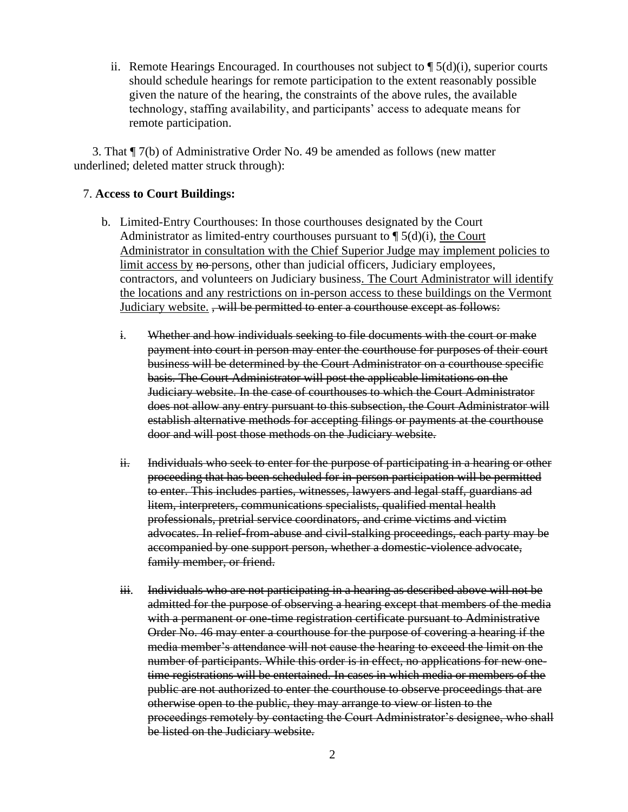ii. Remote Hearings Encouraged. In courthouses not subject to  $\P$  5(d)(i), superior courts should schedule hearings for remote participation to the extent reasonably possible given the nature of the hearing, the constraints of the above rules, the available technology, staffing availability, and participants' access to adequate means for remote participation.

3. That ¶ 7(b) of Administrative Order No. 49 be amended as follows (new matter underlined; deleted matter struck through):

### 7. **Access to Court Buildings:**

- b. Limited-Entry Courthouses: In those courthouses designated by the Court Administrator as limited-entry courthouses pursuant to  $\P$  5(d)(i), the Court Administrator in consultation with the Chief Superior Judge may implement policies to limit access by no persons, other than judicial officers, Judiciary employees, contractors, and volunteers on Judiciary business. The Court Administrator will identify the locations and any restrictions on in-person access to these buildings on the Vermont Judiciary website. , will be permitted to enter a courthouse except as follows:
	- i. Whether and how individuals seeking to file documents with the court or make payment into court in person may enter the courthouse for purposes of their court business will be determined by the Court Administrator on a courthouse specific basis. The Court Administrator will post the applicable limitations on the Judiciary website. In the case of courthouses to which the Court Administrator does not allow any entry pursuant to this subsection, the Court Administrator will establish alternative methods for accepting filings or payments at the courthouse door and will post those methods on the Judiciary website.
	- ii. Individuals who seek to enter for the purpose of participating in a hearing or other proceeding that has been scheduled for in-person participation will be permitted to enter. This includes parties, witnesses, lawyers and legal staff, guardians ad litem, interpreters, communications specialists, qualified mental health professionals, pretrial service coordinators, and crime victims and victim advocates. In relief-from-abuse and civil-stalking proceedings, each party may be accompanied by one support person, whether a domestic-violence advocate, family member, or friend.
	- iii. Individuals who are not participating in a hearing as described above will not be admitted for the purpose of observing a hearing except that members of the media with a permanent or one-time registration certificate pursuant to Administrative Order No. 46 may enter a courthouse for the purpose of covering a hearing if the media member's attendance will not cause the hearing to exceed the limit on the number of participants. While this order is in effect, no applications for new onetime registrations will be entertained. In cases in which media or members of the public are not authorized to enter the courthouse to observe proceedings that are otherwise open to the public, they may arrange to view or listen to the proceedings remotely by contacting the Court Administrator's designee, who shall be listed on the Judiciary website.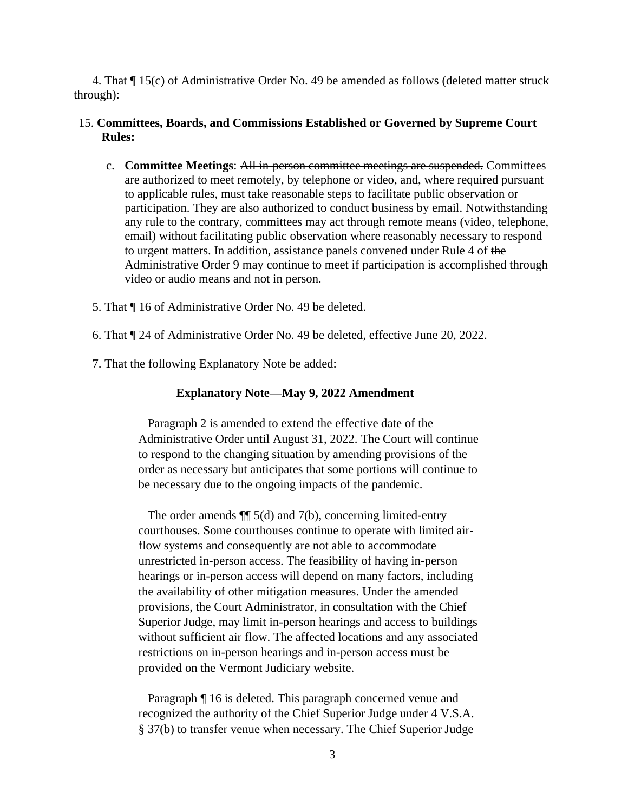4. That ¶ 15(c) of Administrative Order No. 49 be amended as follows (deleted matter struck through):

## 15. **Committees, Boards, and Commissions Established or Governed by Supreme Court Rules:**

- c. **Committee Meetings**: All in-person committee meetings are suspended. Committees are authorized to meet remotely, by telephone or video, and, where required pursuant to applicable rules, must take reasonable steps to facilitate public observation or participation. They are also authorized to conduct business by email. Notwithstanding any rule to the contrary, committees may act through remote means (video, telephone, email) without facilitating public observation where reasonably necessary to respond to urgent matters. In addition, assistance panels convened under Rule 4 of the Administrative Order 9 may continue to meet if participation is accomplished through video or audio means and not in person.
- 5. That ¶ 16 of Administrative Order No. 49 be deleted.
- 6. That ¶ 24 of Administrative Order No. 49 be deleted, effective June 20, 2022.
- 7. That the following Explanatory Note be added:

#### **Explanatory Note—May 9, 2022 Amendment**

Paragraph 2 is amended to extend the effective date of the Administrative Order until August 31, 2022. The Court will continue to respond to the changing situation by amending provisions of the order as necessary but anticipates that some portions will continue to be necessary due to the ongoing impacts of the pandemic.

The order amends  $\P$  5(d) and 7(b), concerning limited-entry courthouses. Some courthouses continue to operate with limited airflow systems and consequently are not able to accommodate unrestricted in-person access. The feasibility of having in-person hearings or in-person access will depend on many factors, including the availability of other mitigation measures. Under the amended provisions, the Court Administrator, in consultation with the Chief Superior Judge, may limit in-person hearings and access to buildings without sufficient air flow. The affected locations and any associated restrictions on in-person hearings and in-person access must be provided on the Vermont Judiciary website.

Paragraph ¶ 16 is deleted. This paragraph concerned venue and recognized the authority of the Chief Superior Judge under 4 V.S.A. § 37(b) to transfer venue when necessary. The Chief Superior Judge